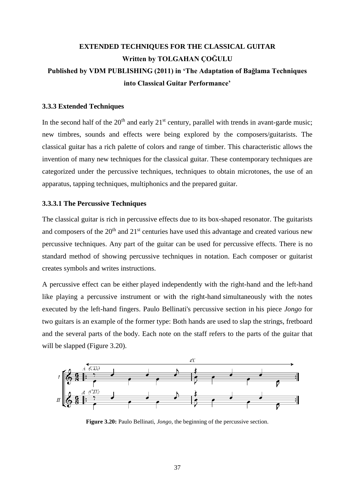# **EXTENDED TECHNIQUES FOR THE CLASSICAL GUITAR Written by TOLGAHAN ÇOĞULU Published by VDM PUBLISHING (2011) in 'The Adaptation of Bağlama Techniques into Classical Guitar Performance'**

## **3.3.3 Extended Techniques**

In the second half of the  $20<sup>th</sup>$  and early  $21<sup>st</sup>$  century, parallel with trends in avant-garde music; new timbres, sounds and effects were being explored by the composers/guitarists. The classical guitar has a rich palette of colors and range of timber. This characteristic allows the invention of many new techniques for the classical guitar. These contemporary techniques are categorized under the percussive techniques, techniques to obtain microtones, the use of an apparatus, tapping techniques, multiphonics and the prepared guitar.

#### **3.3.3.1 The Percussive Techniques**

The classical guitar is rich in percussive effects due to its box-shaped resonator. The guitarists and composers of the  $20<sup>th</sup>$  and  $21<sup>st</sup>$  centuries have used this advantage and created various new percussive techniques. Any part of the guitar can be used for percussive effects. There is no standard method of showing percussive techniques in notation. Each composer or guitarist creates symbols and writes instructions.

A percussive effect can be either played independently with the right-hand and the left-hand like playing a percussive instrument or with the right-hand simultaneously with the notes executed by the left-hand fingers. Paulo Bellinati's percussive section in his piece *Jongo* for two guitars is an example of the former type: Both hands are used to slap the strings, fretboard and the several parts of the body. Each note on the staff refers to the parts of the guitar that will be slapped (Figure 3.20).



**Figure 3.20:** Paulo Bellinati, *Jongo*, the beginning of the percussive section.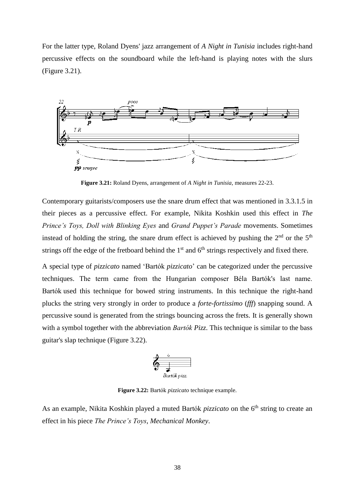For the latter type, Roland Dyens' jazz arrangement of *A Night in Tunisia* includes right-hand percussive effects on the soundboard while the left-hand is playing notes with the slurs (Figure 3.21).



**Figure 3.21:** Roland Dyens, arrangement of *A Night in Tunisia*, measures 22-23.

Contemporary guitarists/composers use the snare drum effect that was mentioned in 3.3.1.5 in their pieces as a percussive effect. For example, Nikita Koshkin used this effect in *The Prince's Toys, Doll with Blinking Eyes* and *Grand Puppet's Parade* movements. Sometimes instead of holding the string, the snare drum effect is achieved by pushing the  $2<sup>nd</sup>$  or the  $5<sup>th</sup>$ strings off the edge of the fretboard behind the  $1<sup>st</sup>$  and  $6<sup>th</sup>$  strings respectively and fixed there.

A special type of *pizzicato* named 'Bartók *pizzicato*' can be categorized under the percussive techniques. The term came from the Hungarian composer Béla Bartók's last name. Bartók used this technique for bowed string instruments. In this technique the right-hand plucks the string very strongly in order to produce a *forte-fortissimo* (*fff*) snapping sound. A percussive sound is generated from the strings bouncing across the frets. It is generally shown with a symbol together with the abbreviation *Bartók Pizz*. This technique is similar to the bass guitar's slap technique (Figure 3.22).

$$
\begin{array}{c}\n\bullet \\
\bullet \\
\hline\n\end{array}
$$
\n
$$
Bartok \,\text{pix.}
$$

**Figure 3.22:** Bartók *pizzicato* technique example.

As an example, Nikita Koshkin played a muted Bartók *pizzicato* on the 6<sup>th</sup> string to create an effect in his piece *The Prince's Toys*, *Mechanical Monkey*.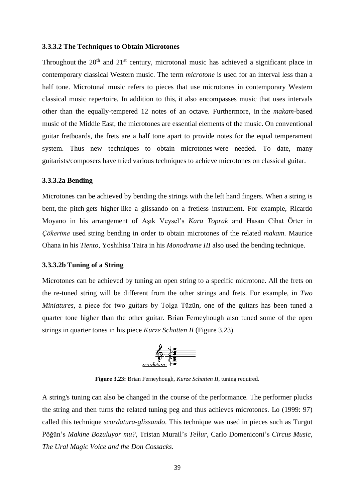#### **3.3.3.2 The Techniques to Obtain Microtones**

Throughout the  $20<sup>th</sup>$  and  $21<sup>st</sup>$  century, microtonal music has achieved a significant place in contemporary classical Western music. The term *microtone* is used for an interval less than a half tone. Microtonal music refers to pieces that use microtones in contemporary Western classical music repertoire. In addition to this, it also encompasses music that uses intervals other than the equally-tempered 12 notes of an octave. Furthermore, in the *makam*-based music of the Middle East, the microtones are essential elements of the music. On conventional guitar fretboards, the frets are a half tone apart to provide notes for the equal temperament system. Thus new techniques to obtain microtones were needed. To date, many guitarists/composers have tried various techniques to achieve microtones on classical guitar.

### **3.3.3.2a Bending**

Microtones can be achieved by bending the strings with the left hand fingers. When a string is bent, the pitch gets higher like a glissando on a fretless instrument. For example, Ricardo Moyano in his arrangement of Aşık Veysel's *Kara Toprak* and Hasan Cihat Örter in *Çökertme* used string bending in order to obtain microtones of the related *makam*. Maurice Ohana in his *Tiento*, Yoshihisa Taira in his *Monodrame III* also used the bending technique.

## **3.3.3.2b Tuning of a String**

Microtones can be achieved by tuning an open string to a specific microtone. All the frets on the re-tuned string will be different from the other strings and frets. For example, in *Two Miniatures*, a piece for two guitars by Tolga Tüzün, one of the guitars has been tuned a quarter tone higher than the other guitar. Brian Ferneyhough also tuned some of the open strings in quarter tones in his piece *Kurze Schatten II* (Figure 3.23).



**Figure 3.23:** Brian Ferneyhough, *Kurze Schatten II*, tuning required.

A string's tuning can also be changed in the course of the performance. The performer plucks the string and then turns the related tuning peg and thus achieves microtones. Lo (1999: 97) called this technique *scordatura-glissando*. This technique was used in pieces such as Turgut Pöğün's *Makine Bozuluyor mu?*, Tristan Murail's *Tellur*, Carlo Domeniconi's *Circus Music, The Ural Magic Voice and the Don Cossacks*.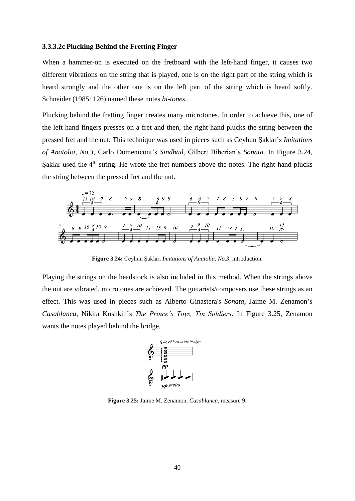#### **3.3.3.2c Plucking Behind the Fretting Finger**

When a hammer-on is executed on the fretboard with the left-hand finger, it causes two different vibrations on the string that is played, one is on the right part of the string which is heard strongly and the other one is on the left part of the string which is heard softly. Schneider (1985: 126) named these notes *bi-tones*.

Plucking behind the fretting finger creates many microtones. In order to achieve this, one of the left hand fingers presses on a fret and then, the right hand plucks the string between the pressed fret and the nut. This technique was used in pieces such as Ceyhun Şaklar's *Imitations of Anatolia, No.3*, Carlo Domeniconi's *Sindbad*, Gilbert Biberian's *Sonata*. In Figure 3.24, Şaklar used the  $4<sup>th</sup>$  string. He wrote the fret numbers above the notes. The right-hand plucks the string between the pressed fret and the nut.



**Figure 3.24:** Ceyhun Şaklar, *Imitations of Anatolia*, *No.3*, introduction.

Playing the strings on the headstock is also included in this method. When the strings above the nut are vibrated, microtones are achieved. The guitarists/composers use these strings as an effect. This was used in pieces such as Alberto Ginastera's *Sonata*, Jaime M. Zenamon's *Casablanca*, Nikita Koshkin's *The Prince's Toys, Tin Soldiers*. In Figure 3.25, Zenamon wants the notes played behind the bridge.



**Figure 3.25:** Jaime M. Zenamon, *Casablanca*, measure 9.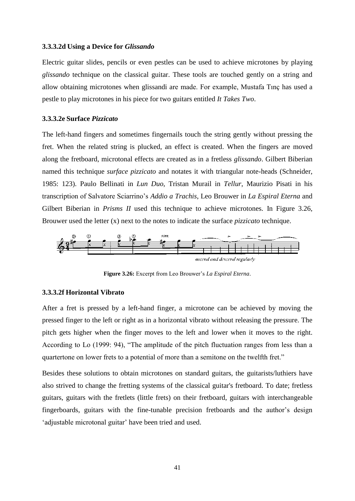#### **3.3.3.2d Using a Device for** *Glissando*

Electric guitar slides, pencils or even pestles can be used to achieve microtones by playing *glissando* technique on the classical guitar. These tools are touched gently on a string and allow obtaining microtones when glissandi are made. For example, Mustafa Tınç has used a pestle to play microtones in his piece for two guitars entitled *It Takes Two*.

#### **3.3.3.2e Surface** *Pizzicato*

The left-hand fingers and sometimes fingernails touch the string gently without pressing the fret. When the related string is plucked, an effect is created. When the fingers are moved along the fretboard, microtonal effects are created as in a fretless *glissando*. Gilbert Biberian named this technique *surface pizzicato* and notates it with triangular note-heads (Schneider, 1985: 123). Paulo Bellinati in *Lun Duo*, Tristan Murail in *Tellur*, Maurizio Pisati in his transcription of Salvatore Sciarrino's *Addio a Trachis*, Leo Brouwer in *La Espiral Eterna* and Gilbert Biberian in *Prisms II* used this technique to achieve microtones. In Figure 3.26, Brouwer used the letter (x) next to the notes to indicate the surface *pizzicato* technique.



**Figure 3.26:** Excerpt from Leo Brouwer's *La Espiral Eterna*.

#### **3.3.3.2f Horizontal Vibrato**

After a fret is pressed by a left-hand finger, a microtone can be achieved by moving the pressed finger to the left or right as in a horizontal vibrato without releasing the pressure. The pitch gets higher when the finger moves to the left and lower when it moves to the right. According to Lo (1999: 94), "The amplitude of the pitch fluctuation ranges from less than a quartertone on lower frets to a potential of more than a semitone on the twelfth fret."

Besides these solutions to obtain microtones on standard guitars, the guitarists/luthiers have also strived to change the fretting systems of the classical guitar's fretboard. To date; fretless guitars, guitars with the fretlets (little frets) on their fretboard, guitars with interchangeable fingerboards, guitars with the fine-tunable precision fretboards and the author's design 'adjustable microtonal guitar' have been tried and used.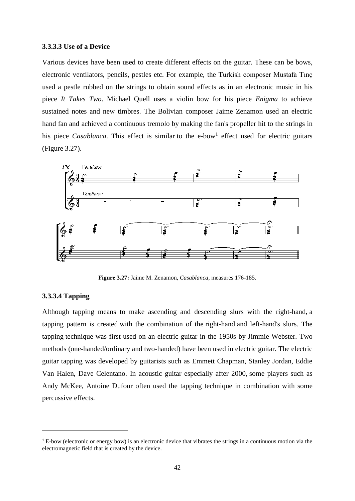#### **3.3.3.3 Use of a Device**

Various devices have been used to create different effects on the guitar. These can be bows, electronic ventilators, pencils, pestles etc. For example, the Turkish composer Mustafa Tınç used a pestle rubbed on the strings to obtain sound effects as in an electronic music in his piece *It Takes Two*. Michael Quell uses a violin bow for his piece *Enigma* to achieve sustained notes and new timbres. The Bolivian composer Jaime Zenamon used an electric hand fan and achieved a continuous tremolo by making the fan's propeller hit to the strings in his piece *Casablanca*. This effect is similar to the e-bow<sup>1</sup> effect used for electric guitars (Figure 3.27).



**Figure 3.27:** Jaime M. Zenamon, *Casablanca*, measures 176-185.

## **3.3.3.4 Tapping**

 $\ddot{\phantom{a}}$ 

Although tapping means to make ascending and descending slurs with the right-hand, a tapping pattern is created with the combination of the right-hand and left-hand's slurs. The tapping technique was first used on an electric guitar in the 1950s by Jimmie Webster. Two methods (one-handed/ordinary and two-handed) have been used in electric guitar. The electric guitar tapping was developed by guitarists such as Emmett Chapman, Stanley Jordan, Eddie Van Halen, Dave Celentano. In acoustic guitar especially after 2000, some players such as Andy McKee, Antoine Dufour often used the tapping technique in combination with some percussive effects.

<sup>&</sup>lt;sup>1</sup> E-bow (electronic or energy bow) is an electronic device that vibrates the strings in a continuous motion via the electromagnetic field that is created by the device.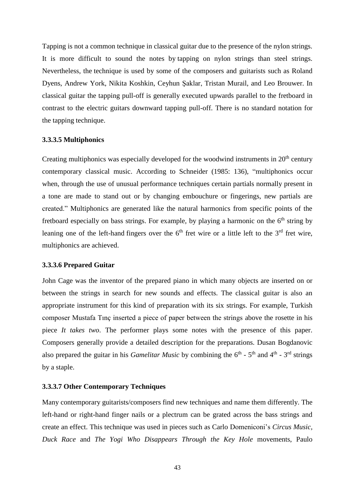Tapping is not a common technique in classical guitar due to the presence of the nylon strings. It is more difficult to sound the notes by tapping on nylon strings than steel strings. Nevertheless, the technique is used by some of the composers and guitarists such as Roland Dyens, Andrew York, Nikita Koshkin, Ceyhun Şaklar, Tristan Murail, and Leo Brouwer. In classical guitar the tapping pull-off is generally executed upwards parallel to the fretboard in contrast to the electric guitars downward tapping pull-off. There is no standard notation for the tapping technique.

## **3.3.3.5 Multiphonics**

Creating multiphonics was especially developed for the woodwind instruments in  $20<sup>th</sup>$  century contemporary classical music. According to Schneider (1985: 136), "multiphonics occur when, through the use of unusual performance techniques certain partials normally present in a tone are made to stand out or by changing embouchure or fingerings, new partials are created." Multiphonics are generated like the natural harmonics from specific points of the fretboard especially on bass strings. For example, by playing a harmonic on the  $6<sup>th</sup>$  string by leaning one of the left-hand fingers over the  $6<sup>th</sup>$  fret wire or a little left to the  $3<sup>rd</sup>$  fret wire, multiphonics are achieved.

## **3.3.3.6 Prepared Guitar**

John Cage was the inventor of the prepared piano in which many objects are inserted on or between the strings in search for new sounds and effects. The classical guitar is also an appropriate instrument for this kind of preparation with its six strings. For example, Turkish composer Mustafa Tınç inserted a piece of paper between the strings above the rosette in his piece *It takes two*. The performer plays some notes with the presence of this paper. Composers generally provide a detailed description for the preparations. Dusan Bogdanovic also prepared the guitar in his *Gamelitar Music* by combining the  $6<sup>th</sup>$  -  $5<sup>th</sup>$  and  $4<sup>th</sup>$  -  $3<sup>rd</sup>$  strings by a staple.

#### **3.3.3.7 Other Contemporary Techniques**

Many contemporary guitarists/composers find new techniques and name them differently. The left-hand or right-hand finger nails or a plectrum can be grated across the bass strings and create an effect. This technique was used in pieces such as Carlo Domeniconi's *Circus Music, Duck Race* and *The Yogi Who Disappears Through the Key Hole* movements, Paulo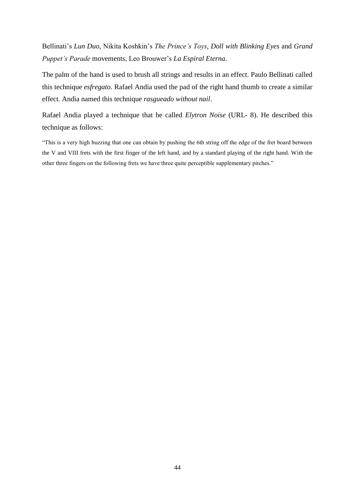Bellinati's *Lun Duo*, Nikita Koshkin's *The Prince's Toys, Doll with Blinking Eyes* and *Grand Puppet's Parade* movements, Leo Brouwer's *La Espiral Eterna*.

The palm of the hand is used to brush all strings and results in an effect. Paulo Bellinati called this technique *esfregato*. Rafael Andia used the pad of the right hand thumb to create a similar effect. Andia named this technique *rasgueado without nail*.

Rafael Andia played a technique that he called *Elytron Noise* (URL- 8). He described this technique as follows:

"This is a very high buzzing that one can obtain by pushing the 6th string off the edge of the fret board between the V and VIII frets with the first finger of the left hand, and by a standard playing of the right hand. With the other three fingers on the following frets we have three quite perceptible supplementary pitches."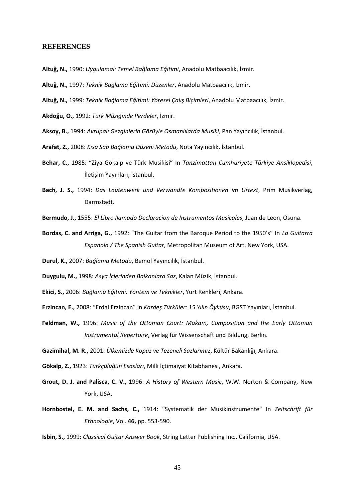#### **REFERENCES**

- **Altuğ, N.,** 1990: *Uygulamalı Temel Bağlama Eğitimi*, Anadolu Matbaacılık, İzmir.
- **Altuğ, N.,** 1997: *Teknik Bağlama Eğitimi: Düzenler*, Anadolu Matbaacılık, İzmir.
- **Altuğ, N.,** 1999: *Teknik Bağlama Eğitimi: Yöresel Çalış Biçimleri*, Anadolu Matbaacılık, İzmir.

**Akdoğu, O.,** 1992: *Türk Müziğinde Perdeler*, İzmir.

- **Aksoy, B.,** 1994: *Avrupalı Gezginlerin Gözüyle Osmanlılarda Musiki,* Pan Yayıncılık, İstanbul.
- **Arafat, Z.,** 2008: *Kısa Sap Bağlama Düzeni Metodu*, Nota Yayıncılık, İstanbul.
- **Behar, C.,** 1985: "Ziya Gökalp ve Türk Musikisi" In *Tanzimattan Cumhuriyete Türkiye Ansiklopedisi*, İletişim Yayınları, İstanbul.
- **Bach, J. S.,** 1994: *Das Lautenwerk und Verwandte Kompositionen im Urtext*, Prim Musikverlag, Darmstadt.
- **Bermudo, J.,** 1555: *El Libro Ilamado Declaracion de Instrumentos Musicales*, Juan de Leon, Osuna.
- **Bordas, C. and Arriga, G.,** 1992: "The Guitar from the Baroque Period to the 1950's" In *La Guitarra Espanola / The Spanish Guitar*, Metropolitan Museum of Art, New York, USA.
- **Durul, K.,** 2007: *Bağlama Metodu*, Bemol Yayıncılık, İstanbul.
- **Duygulu, M.,** 1998: *Asya İçlerinden Balkanlara Saz*, Kalan Müzik, İstanbul.
- **Ekici, S.,** 2006: *Bağlama Eğitimi: Yöntem ve Teknikler*, Yurt Renkleri, Ankara.
- **Erzincan, E.,** 2008: "Erdal Erzincan" In *Kardeş Türküler: 15 Yılın Öyküsü*, BGST Yayınları, İstanbul.
- **Feldman, W.,** 1996: *Music of the Ottoman Court: Makam, Composition and the Early Ottoman Instrumental Repertoire*, Verlag für Wissenschaft und Bildung, Berlin.

**Gazimihal, M. R.,** 2001: *Ülkemizde Kopuz ve Tezeneli Sazlarımız*, Kültür Bakanlığı, Ankara.

**Gökalp, Z.,** 1923: *Türkçülüğün Esasları*, Milli İçtimaiyat Kitabhanesi, Ankara.

- **Grout, D. J. and Palisca, C. V.,** 1996: *A History of Western Music*, W.W. Norton & Company, New York, USA.
- **Hornbostel, E. M. and Sachs, C.,** 1914: "Systematik der Musikinstrumente" In *Zeitschrift für Ethnologie*, Vol. **46,** pp. 553-590.

**Isbin, S.,** 1999: *Classical Guitar Answer Book*, String Letter Publishing Inc., California, USA.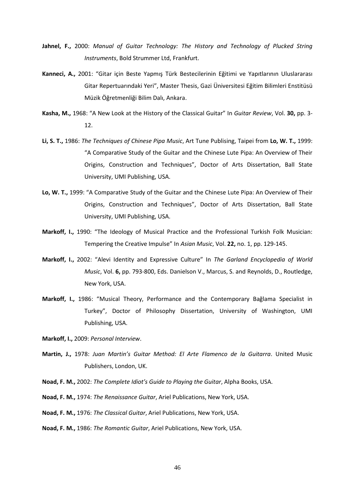- **Jahnel, F.,** 2000: *Manual of Guitar Technology: The History and Technology of Plucked String Instruments*, Bold Strummer Ltd, Frankfurt.
- **Kanneci, A.,** 2001: "Gitar için Beste Yapmış Türk Bestecilerinin Eğitimi ve Yapıtlarının Uluslararası Gitar Repertuarındaki Yeri", Master Thesis, Gazi Üniversitesi Eğitim Bilimleri Enstitüsü Müzik Öğretmenliği Bilim Dalı, Ankara.
- **Kasha, M.,** 1968: "A New Look at the History of the Classical Guitar" In *Guitar Review*, Vol. **30,** pp. 3- 12.
- **Li, S. T.,** 1986: *The Techniques of Chinese Pipa Music*, Art Tune Publising, Taipei from **Lo, W. T.,** 1999: "A Comparative Study of the Guitar and the Chinese Lute Pipa: An Overview of Their Origins, Construction and Techniques", Doctor of Arts Dissertation, Ball State University, UMI Publishing, USA.
- **Lo, W. T.,** 1999: "A Comparative Study of the Guitar and the Chinese Lute Pipa: An Overview of Their Origins, Construction and Techniques", Doctor of Arts Dissertation, Ball State University, UMI Publishing, USA.
- **Markoff, I.,** 1990: "The Ideology of Musical Practice and the Professional Turkish Folk Musician: Tempering the Creative Impulse" In *Asian Music*, Vol. **22,** no. 1, pp. 129-145.
- **Markoff, I.,** 2002: "Alevi Identity and Expressive Culture" In *The Garland Encyclopedia of World Music*, Vol. **6,** pp. 793-800, Eds. Danielson V., Marcus, S. and Reynolds, D., Routledge, New York, USA.
- **Markoff, I.,** 1986: "Musical Theory, Performance and the Contemporary Bağlama Specialist in Turkey", Doctor of Philosophy Dissertation, University of Washington, UMI Publishing, USA.

**Markoff, I.,** 2009: *Personal Interview*.

- **Martin, J.,** 1978: *Juan Martin's Guitar Method: El Arte Flamenco de la Guitarra*. United Music Publishers, London, UK.
- **Noad, F. M.,** 2002: *The Complete Idiot's Guide to Playing the Guitar*, Alpha Books, USA.
- **Noad, F. M.,** 1974: *The Renaissance Guitar*, Ariel Publications, New York, USA.
- **Noad, F. M.,** 1976: *The Classical Guitar*, Ariel Publications, New York, USA.
- **Noad, F. M.,** 1986: *The Romantic Guitar*, Ariel Publications, New York, USA.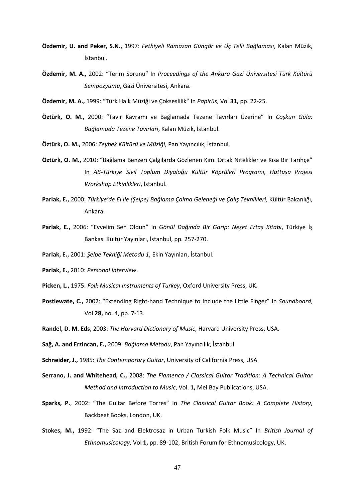- **Özdemir, U. and Peker, S.N.,** 1997: *Fethiyeli Ramazan Güngör ve Üç Telli Bağlaması*, Kalan Müzik, İstanbul.
- **Özdemir, M. A.,** 2002: "Terim Sorunu" In *Proceedings of the Ankara Gazi Üniversitesi Türk Kültürü Sempozyumu*, Gazi Üniversitesi, Ankara.
- **Özdemir, M. A.,** 1999: "Türk Halk Müziği ve Çokseslilik" In *Papirüs*, Vol **31,** pp. 22-25.
- **Öztürk, O. M.,** 2000: "Tavır Kavramı ve Bağlamada Tezene Tavırları Üzerine" In *Coşkun Güla: Bağlamada Tezene Tavırları*, Kalan Müzik, İstanbul.
- **Öztürk, O. M.,** 2006: *Zeybek Kültürü ve Müziği*, Pan Yayıncılık, İstanbul.
- **Öztürk, O. M.,** 2010: "Bağlama Benzeri Çalgılarda Gözlenen Kimi Ortak Nitelikler ve Kısa Bir Tarihçe" In *AB-Türkiye Sivil Toplum Diyaloğu Kültür Köprüleri Programı, Hattuşa Projesi Workshop Etkinlikleri*, İstanbul.
- **Parlak, E.,** 2000: *Türkiye'de El ile (Şelpe) Bağlama Çalma Geleneği ve Çalış Teknikleri*, Kültür Bakanlığı, Ankara.
- **Parlak, E.,** 2006: "Evvelim Sen Oldun" In *Gönül Dağında Bir Garip: Neşet Ertaş Kitabı*, Türkiye İş Bankası Kültür Yayınları, İstanbul, pp. 257-270.
- **Parlak, E.,** 2001: *Şelpe Tekniği Metodu 1*, Ekin Yayınları, İstanbul.
- **Parlak, E.,** 2010: *Personal Interview*.
- **Picken, L.,** 1975: *Folk Musical Instruments of Turkey*, Oxford University Press, UK.
- **Postlewate, C.,** 2002: "Extending Right-hand Technique to Include the Little Finger" In *Soundboard*, Vol **28,** no. 4, pp. 7-13.
- **Randel, D. M. Eds,** 2003: *The Harvard Dictionary of Music*, Harvard University Press, USA.
- **Sağ, A. and Erzincan, E.,** 2009: *Bağlama Metodu*, Pan Yayıncılık, İstanbul.
- **Schneider, J.,** 1985: *The Contemporary Guitar*, University of California Press, USA
- **Serrano, J. and Whitehead, C.,** 2008: *The Flamenco / Classical Guitar Tradition: A Technical Guitar Method and Introduction to Music*, Vol. **1,** Mel Bay Publications, USA.
- **Sparks, P.**, 2002: "The Guitar Before Torres" In *The Classical Guitar Book: A Complete History*, Backbeat Books, London, UK.
- **Stokes, M.,** 1992: "The Saz and Elektrosaz in Urban Turkish Folk Music" In *British Journal of Ethnomusicology*, Vol **1,** pp. 89-102, British Forum for Ethnomusicology, UK.